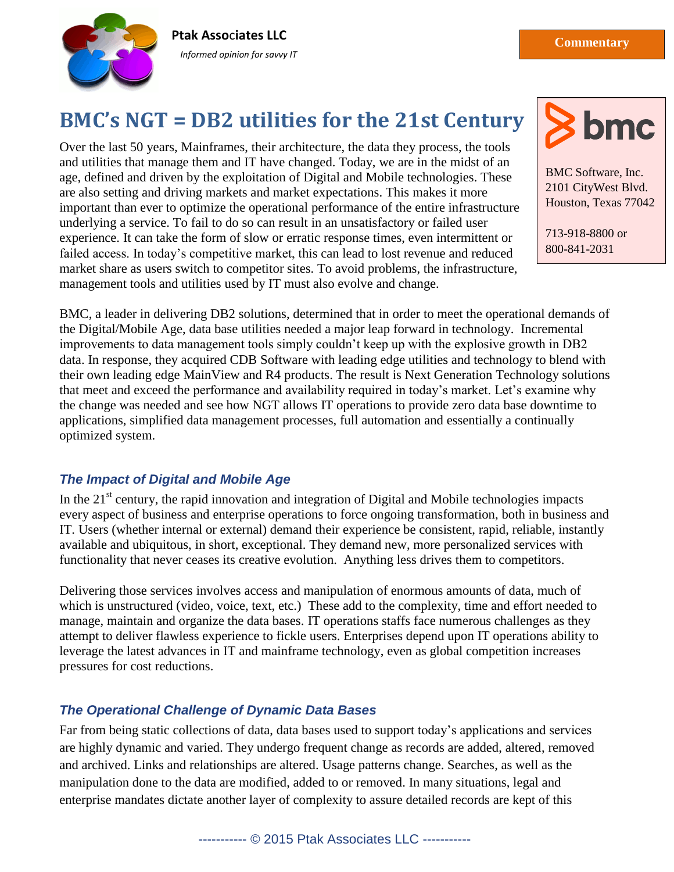

**Ptak Asso**c**iates LLC** *Informed opinion for savvy IT*

# **BMC's NGT = DB2 utilities for the 21st Century**

Over the last 50 years, Mainframes, their architecture, the data they process, the tools and utilities that manage them and IT have changed. Today, we are in the midst of an age, defined and driven by the exploitation of Digital and Mobile technologies. These are also setting and driving markets and market expectations. This makes it more important than ever to optimize the operational performance of the entire infrastructure underlying a service. To fail to do so can result in an unsatisfactory or failed user experience. It can take the form of slow or erratic response times, even intermittent or failed access. In today's competitive market, this can lead to lost revenue and reduced market share as users switch to competitor sites. To avoid problems, the infrastructure, management tools and utilities used by IT must also evolve and change.



BMC Software, Inc. 2101 CityWest Blvd. Houston, Texas 77042

713-918-8800 or 800-841-2031

www.becomes and the company

BMC, a leader in delivering DB2 solutions, determined that in order to meet the operational demands of the Digital/Mobile Age, data base utilities needed a major leap forward in technology. Incremental improvements to data management tools simply couldn't keep up with the explosive growth in DB2 data. In response, they acquired CDB Software with leading edge utilities and technology to blend with their own leading edge MainView and R4 products. The result is Next Generation Technology solutions that meet and exceed the performance and availability required in today's market. Let's examine why the change was needed and see how NGT allows IT operations to provide zero data base downtime to applications, simplified data management processes, full automation and essentially a continually optimized system.

#### *The Impact of Digital and Mobile Age*

In the  $21<sup>st</sup>$  century, the rapid innovation and integration of Digital and Mobile technologies impacts every aspect of business and enterprise operations to force ongoing transformation, both in business and IT. Users (whether internal or external) demand their experience be consistent, rapid, reliable, instantly available and ubiquitous, in short, exceptional. They demand new, more personalized services with functionality that never ceases its creative evolution. Anything less drives them to competitors.

Delivering those services involves access and manipulation of enormous amounts of data, much of which is unstructured (video, voice, text, etc.) These add to the complexity, time and effort needed to manage, maintain and organize the data bases. IT operations staffs face numerous challenges as they attempt to deliver flawless experience to fickle users. Enterprises depend upon IT operations ability to leverage the latest advances in IT and mainframe technology, even as global competition increases pressures for cost reductions.

# *The Operational Challenge of Dynamic Data Bases*

Far from being static collections of data, data bases used to support today's applications and services are highly dynamic and varied. They undergo frequent change as records are added, altered, removed and archived. Links and relationships are altered. Usage patterns change. Searches, as well as the manipulation done to the data are modified, added to or removed. In many situations, legal and enterprise mandates dictate another layer of complexity to assure detailed records are kept of this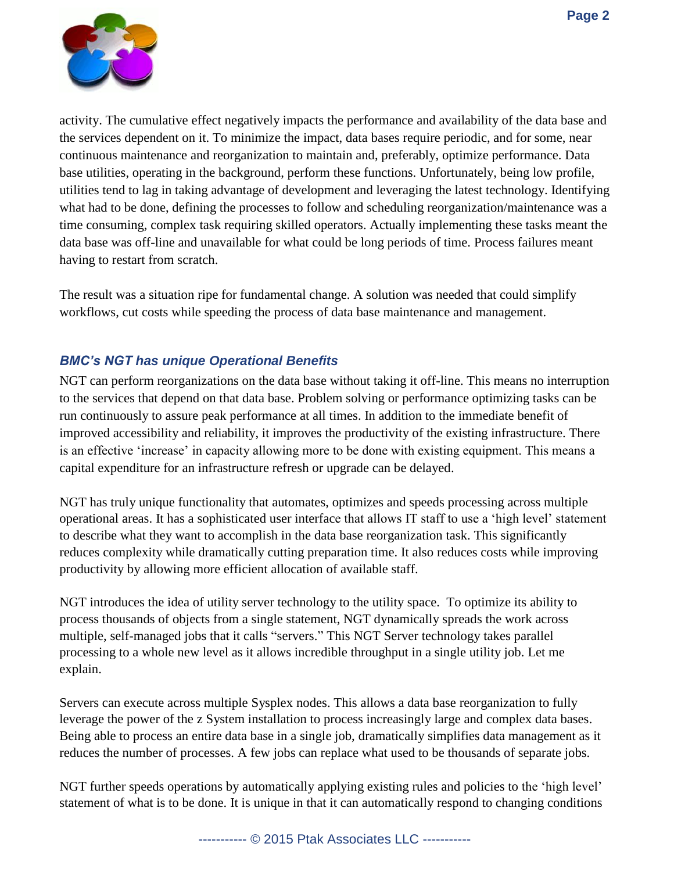

activity. The cumulative effect negatively impacts the performance and availability of the data base and the services dependent on it. To minimize the impact, data bases require periodic, and for some, near continuous maintenance and reorganization to maintain and, preferably, optimize performance. Data base utilities, operating in the background, perform these functions. Unfortunately, being low profile, utilities tend to lag in taking advantage of development and leveraging the latest technology. Identifying what had to be done, defining the processes to follow and scheduling reorganization/maintenance was a time consuming, complex task requiring skilled operators. Actually implementing these tasks meant the data base was off-line and unavailable for what could be long periods of time. Process failures meant having to restart from scratch.

The result was a situation ripe for fundamental change. A solution was needed that could simplify workflows, cut costs while speeding the process of data base maintenance and management.

### *BMC's NGT has unique Operational Benefits*

NGT can perform reorganizations on the data base without taking it off-line. This means no interruption to the services that depend on that data base. Problem solving or performance optimizing tasks can be run continuously to assure peak performance at all times. In addition to the immediate benefit of improved accessibility and reliability, it improves the productivity of the existing infrastructure. There is an effective 'increase' in capacity allowing more to be done with existing equipment. This means a capital expenditure for an infrastructure refresh or upgrade can be delayed.

NGT has truly unique functionality that automates, optimizes and speeds processing across multiple operational areas. It has a sophisticated user interface that allows IT staff to use a 'high level' statement to describe what they want to accomplish in the data base reorganization task. This significantly reduces complexity while dramatically cutting preparation time. It also reduces costs while improving productivity by allowing more efficient allocation of available staff.

NGT introduces the idea of utility server technology to the utility space. To optimize its ability to process thousands of objects from a single statement, NGT dynamically spreads the work across multiple, self-managed jobs that it calls "servers." This NGT Server technology takes parallel processing to a whole new level as it allows incredible throughput in a single utility job. Let me explain.

Servers can execute across multiple Sysplex nodes. This allows a data base reorganization to fully leverage the power of the z System installation to process increasingly large and complex data bases. Being able to process an entire data base in a single job, dramatically simplifies data management as it reduces the number of processes. A few jobs can replace what used to be thousands of separate jobs.

NGT further speeds operations by automatically applying existing rules and policies to the 'high level' statement of what is to be done. It is unique in that it can automatically respond to changing conditions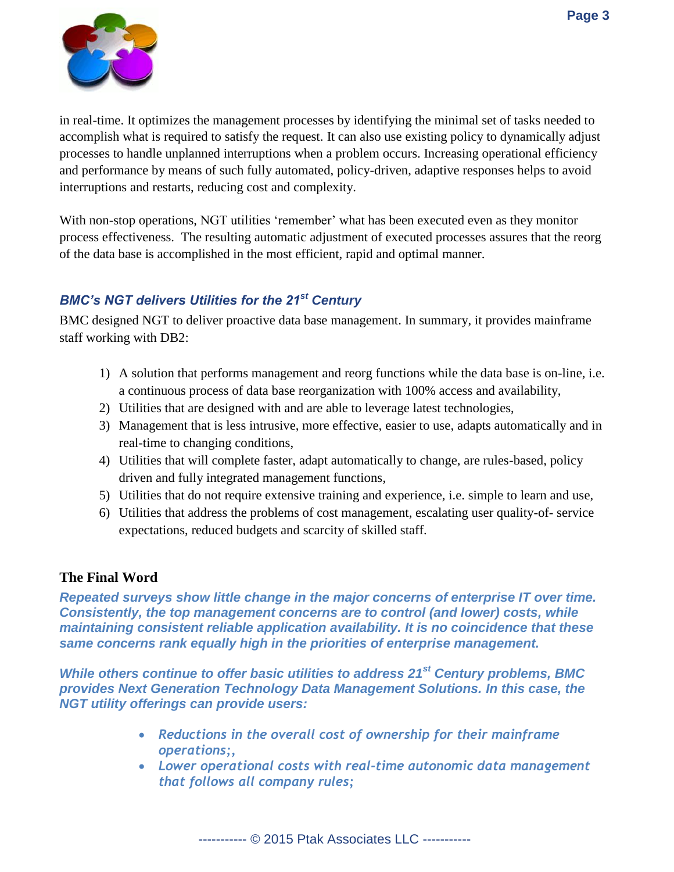

in real-time. It optimizes the management processes by identifying the minimal set of tasks needed to accomplish what is required to satisfy the request. It can also use existing policy to dynamically adjust processes to handle unplanned interruptions when a problem occurs. Increasing operational efficiency and performance by means of such fully automated, policy-driven, adaptive responses helps to avoid interruptions and restarts, reducing cost and complexity.

With non-stop operations, NGT utilities 'remember' what has been executed even as they monitor process effectiveness. The resulting automatic adjustment of executed processes assures that the reorg of the data base is accomplished in the most efficient, rapid and optimal manner.

# *BMC's NGT delivers Utilities for the 21st Century*

BMC designed NGT to deliver proactive data base management. In summary, it provides mainframe staff working with DB2:

- 1) A solution that performs management and reorg functions while the data base is on-line, i.e. a continuous process of data base reorganization with 100% access and availability,
- 2) Utilities that are designed with and are able to leverage latest technologies,
- 3) Management that is less intrusive, more effective, easier to use, adapts automatically and in real-time to changing conditions,
- 4) Utilities that will complete faster, adapt automatically to change, are rules-based, policy driven and fully integrated management functions,
- 5) Utilities that do not require extensive training and experience, i.e. simple to learn and use,
- 6) Utilities that address the problems of cost management, escalating user quality-of- service expectations, reduced budgets and scarcity of skilled staff.

#### **The Final Word**

*Repeated surveys show little change in the major concerns of enterprise IT over time. Consistently, the top management concerns are to control (and lower) costs, while maintaining consistent reliable application availability. It is no coincidence that these same concerns rank equally high in the priorities of enterprise management.* 

*While others continue to offer basic utilities to address 21st Century problems, BMC provides Next Generation Technology Data Management Solutions. In this case, the NGT utility offerings can provide users:* 

- *Reductions in the overall cost of ownership for their mainframe operations;,*
- *Lower operational costs with real-time autonomic data management that follows all company rules;*